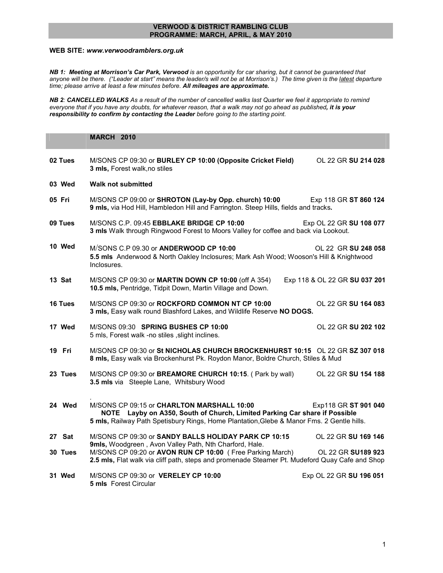## VERWOOD & DISTRICT RAMBLING CLUB PROGRAMME: MARCH, APRIL, & MAY 2010

## WEB SITE: www.verwoodramblers.org.uk

NB 1: Meeting at Morrison's Car Park, Verwood is an opportunity for car sharing, but it cannot be guaranteed that anyone will be there. ("Leader at start" means the leader/s will not be at Morrison's.) The time given is the latest departure time; please arrive at least a few minutes before. All mileages are approximate.

NB 2: CANCELLED WALKS As a result of the number of cancelled walks last Quarter we feel it appropriate to remind everyone that if you have any doubts, for whatever reason, that a walk may not go ahead as published, it is your responsibility to confirm by contacting the Leader before going to the starting point.

|         | <b>MARCH 2010</b>                                                                                                                                                                                                                             |
|---------|-----------------------------------------------------------------------------------------------------------------------------------------------------------------------------------------------------------------------------------------------|
| 02 Tues | M/SONS CP 09:30 or BURLEY CP 10:00 (Opposite Cricket Field)<br>OL 22 GR SU 214 028<br>3 mls, Forest walk, no stiles                                                                                                                           |
| 03 Wed  | <b>Walk not submitted</b>                                                                                                                                                                                                                     |
| 05 Fri  | M/SONS CP 09:00 or SHROTON (Lay-by Opp. church) 10:00<br>Exp 118 GR ST 860 124<br>9 mls, via Hod Hill, Hambledon Hill and Farrington. Steep Hills, fields and tracks.                                                                         |
| 09 Tues | M/SONS C.P. 09:45 EBBLAKE BRIDGE CP 10:00<br>Exp OL 22 GR SU 108 077<br>3 mls Walk through Ringwood Forest to Moors Valley for coffee and back via Lookout.                                                                                   |
| 10 Wed  | M/SONS C.P 09.30 or ANDERWOOD CP 10:00<br>OL 22 GR SU 248 058<br>5.5 mls Anderwood & North Oakley Inclosures; Mark Ash Wood; Wooson's Hill & Knightwood<br>Inclosures.                                                                        |
| 13 Sat  | M/SONS CP 09:30 or MARTIN DOWN CP 10:00 (off A 354)<br>Exp 118 & OL 22 GR SU 037 201<br>10.5 mls, Pentridge, Tidpit Down, Martin Village and Down.                                                                                            |
| 16 Tues | M/SONS CP 09:30 or ROCKFORD COMMON NT CP 10:00<br>OL 22 GR SU 164 083<br>3 mls, Easy walk round Blashford Lakes, and Wildlife Reserve NO DOGS.                                                                                                |
| 17 Wed  | M/SONS 09:30 SPRING BUSHES CP 10:00<br>OL 22 GR SU 202 102<br>5 mls, Forest walk -no stiles , slight inclines.                                                                                                                                |
| 19 Fri  | M/SONS CP 09:30 or St NICHOLAS CHURCH BROCKENHURST 10:15 OL 22 GR SZ 307 018<br>8 mls, Easy walk via Brockenhurst Pk. Roydon Manor, Boldre Church, Stiles & Mud                                                                               |
| 23 Tues | M/SONS CP 09:30 or BREAMORE CHURCH 10:15. (Park by wall)<br>OL 22 GR SU 154 188<br>3.5 mls via Steeple Lane, Whitsbury Wood                                                                                                                   |
| 24 Wed  | M/SONS CP 09:15 or CHARLTON MARSHALL 10:00<br>Exp118 GR ST 901 040<br>NOTE Layby on A350, South of Church, Limited Parking Car share if Possible<br>5 mls, Railway Path Spetisbury Rings, Home Plantation, Glebe & Manor Fms. 2 Gentle hills. |
| 27 Sat  | M/SONS CP 09:30 or SANDY BALLS HOLIDAY PARK CP 10:15<br>OL 22 GR SU 169 146                                                                                                                                                                   |
| 30 Tues | 9mls, Woodgreen, Avon Valley Path, Nth Charford, Hale.<br>M/SONS CP 09:20 or AVON RUN CP 10:00 (Free Parking March)<br>OL 22 GR SU189 923<br>2.5 mls, Flat walk via cliff path, steps and promenade Steamer Pt. Mudeford Quay Cafe and Shop   |
| 31 Wed  | M/SONS CP 09:30 or VERELEY CP 10:00<br>Exp OL 22 GR SU 196 051<br>5 mls Forest Circular                                                                                                                                                       |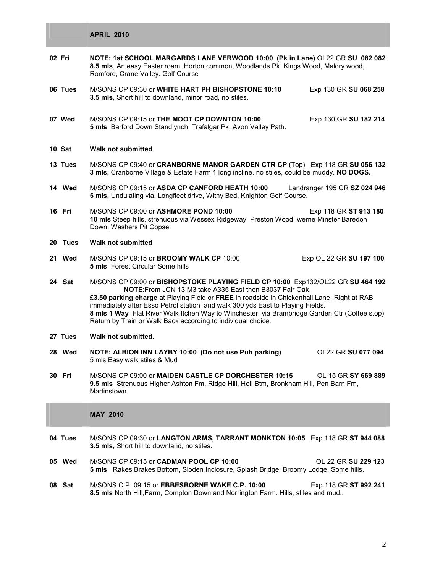|         | <b>APRIL 2010</b>                                                                                                                                                                                                                                                                                                                                                                                                                                                                                    |
|---------|------------------------------------------------------------------------------------------------------------------------------------------------------------------------------------------------------------------------------------------------------------------------------------------------------------------------------------------------------------------------------------------------------------------------------------------------------------------------------------------------------|
| 02 Fri  | NOTE: 1st SCHOOL MARGARDS LANE VERWOOD 10:00 (Pk in Lane) OL22 GR SU 082 082<br>8.5 mls, An easy Easter roam, Horton common, Woodlands Pk. Kings Wood, Maldry wood,<br>Romford, Crane. Valley. Golf Course                                                                                                                                                                                                                                                                                           |
| 06 Tues | M/SONS CP 09:30 or WHITE HART PH BISHOPSTONE 10:10<br>Exp 130 GR SU 068 258<br>3.5 mls, Short hill to downland, minor road, no stiles.                                                                                                                                                                                                                                                                                                                                                               |
| 07 Wed  | M/SONS CP 09:15 or THE MOOT CP DOWNTON 10:00<br>Exp 130 GR SU 182 214<br>5 mls Barford Down Standlynch, Trafalgar Pk, Avon Valley Path.                                                                                                                                                                                                                                                                                                                                                              |
| 10 Sat  | Walk not submitted.                                                                                                                                                                                                                                                                                                                                                                                                                                                                                  |
| 13 Tues | M/SONS CP 09:40 or CRANBORNE MANOR GARDEN CTR CP (Top) Exp 118 GR SU 056 132<br>3 mls, Cranborne Village & Estate Farm 1 long incline, no stiles, could be muddy. NO DOGS.                                                                                                                                                                                                                                                                                                                           |
| 14 Wed  | M/SONS CP 09:15 or ASDA CP CANFORD HEATH 10:00<br>Landranger 195 GR SZ 024 946<br>5 mls, Undulating via, Longfleet drive, Withy Bed, Knighton Golf Course.                                                                                                                                                                                                                                                                                                                                           |
| 16 Fri  | M/SONS CP 09:00 or ASHMORE POND 10:00<br>Exp 118 GR ST 913 180<br>10 mls Steep hills, strenuous via Wessex Ridgeway, Preston Wood Iwerne Minster Baredon<br>Down, Washers Pit Copse.                                                                                                                                                                                                                                                                                                                 |
| 20 Tues | <b>Walk not submitted</b>                                                                                                                                                                                                                                                                                                                                                                                                                                                                            |
| 21 Wed  | M/SONS CP 09:15 or <b>BROOMY WALK CP</b> 10:00<br>Exp OL 22 GR SU 197 100<br><b>5 mls</b> Forest Circular Some hills                                                                                                                                                                                                                                                                                                                                                                                 |
| 24 Sat  | M/SONS CP 09:00 or BISHOPSTOKE PLAYING FIELD CP 10:00 Exp132/OL22 GR SU 464 192<br><b>NOTE:</b> From JCN 13 M3 take A335 East then B3037 Fair Oak.<br>£3.50 parking charge at Playing Field or FREE in roadside in Chickenhall Lane: Right at RAB<br>immediately after Esso Petrol station and walk 300 yds East to Playing Fields.<br>8 mls 1 Way Flat River Walk Itchen Way to Winchester, via Brambridge Garden Ctr (Coffee stop)<br>Return by Train or Walk Back according to individual choice. |
| 27 Tues | Walk not submitted.                                                                                                                                                                                                                                                                                                                                                                                                                                                                                  |
| 28 Wed  | NOTE: ALBION INN LAYBY 10:00 (Do not use Pub parking)<br>OL22 GR SU 077 094<br>5 mls Easy walk stiles & Mud                                                                                                                                                                                                                                                                                                                                                                                          |
| 30 Fri  | M/SONS CP 09:00 or <b>MAIDEN CASTLE CP DORCHESTER 10:15</b><br>OL 15 GR SY 669 889<br>9.5 mls Strenuous Higher Ashton Fm, Ridge Hill, Hell Btm, Bronkham Hill, Pen Barn Fm,<br>Martinstown                                                                                                                                                                                                                                                                                                           |
|         | <b>MAY 2010</b>                                                                                                                                                                                                                                                                                                                                                                                                                                                                                      |
| 04 Tues | M/SONS CP 09:30 or LANGTON ARMS, TARRANT MONKTON 10:05 Exp 118 GR ST 944 088<br>3.5 mls, Short hill to downland, no stiles.                                                                                                                                                                                                                                                                                                                                                                          |
| 05 Wed  | M/SONS CP 09:15 or CADMAN POOL CP 10:00<br>OL 22 GR SU 229 123<br>5 mls Rakes Brakes Bottom, Sloden Inclosure, Splash Bridge, Broomy Lodge. Some hills.                                                                                                                                                                                                                                                                                                                                              |
| 08 Sat  | M/SONS C.P. 09:15 or EBBESBORNE WAKE C.P. 10:00<br>Exp 118 GR ST 992 241<br>8.5 mls North Hill, Farm, Compton Down and Norrington Farm. Hills, stiles and mud                                                                                                                                                                                                                                                                                                                                        |
|         |                                                                                                                                                                                                                                                                                                                                                                                                                                                                                                      |